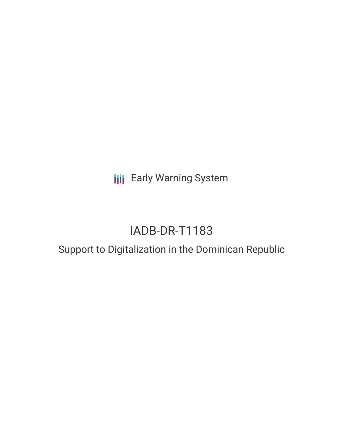**III** Early Warning System

# IADB-DR-T1183

## Support to Digitalization in the Dominican Republic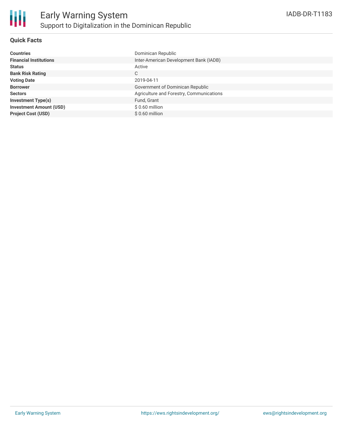

### **Quick Facts**

| <b>Countries</b>               | Dominican Republic                       |
|--------------------------------|------------------------------------------|
| <b>Financial Institutions</b>  | Inter-American Development Bank (IADB)   |
| <b>Status</b>                  | Active                                   |
| <b>Bank Risk Rating</b>        | C                                        |
| <b>Voting Date</b>             | 2019-04-11                               |
| <b>Borrower</b>                | Government of Dominican Republic         |
| <b>Sectors</b>                 | Agriculture and Forestry, Communications |
| <b>Investment Type(s)</b>      | Fund, Grant                              |
| <b>Investment Amount (USD)</b> | $$0.60$ million                          |
| <b>Project Cost (USD)</b>      | $$0.60$ million                          |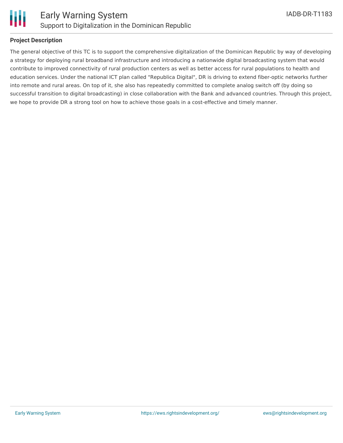

#### **Project Description**

The general objective of this TC is to support the comprehensive digitalization of the Dominican Republic by way of developing a strategy for deploying rural broadband infrastructure and introducing a nationwide digital broadcasting system that would contribute to improved connectivity of rural production centers as well as better access for rural populations to health and education services. Under the national ICT plan called "Republica Digital", DR is driving to extend fiber-optic networks further into remote and rural areas. On top of it, she also has repeatedly committed to complete analog switch off (by doing so successful transition to digital broadcasting) in close collaboration with the Bank and advanced countries. Through this project, we hope to provide DR a strong tool on how to achieve those goals in a cost-effective and timely manner.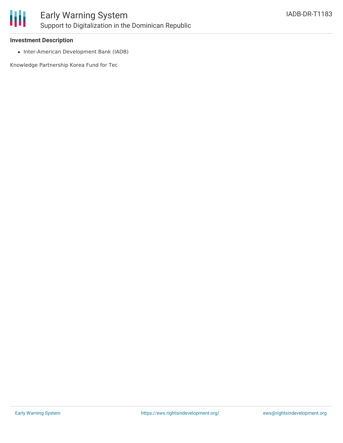

#### **Investment Description**

• Inter-American Development Bank (IADB)

Knowledge Partnership Korea Fund for Tec